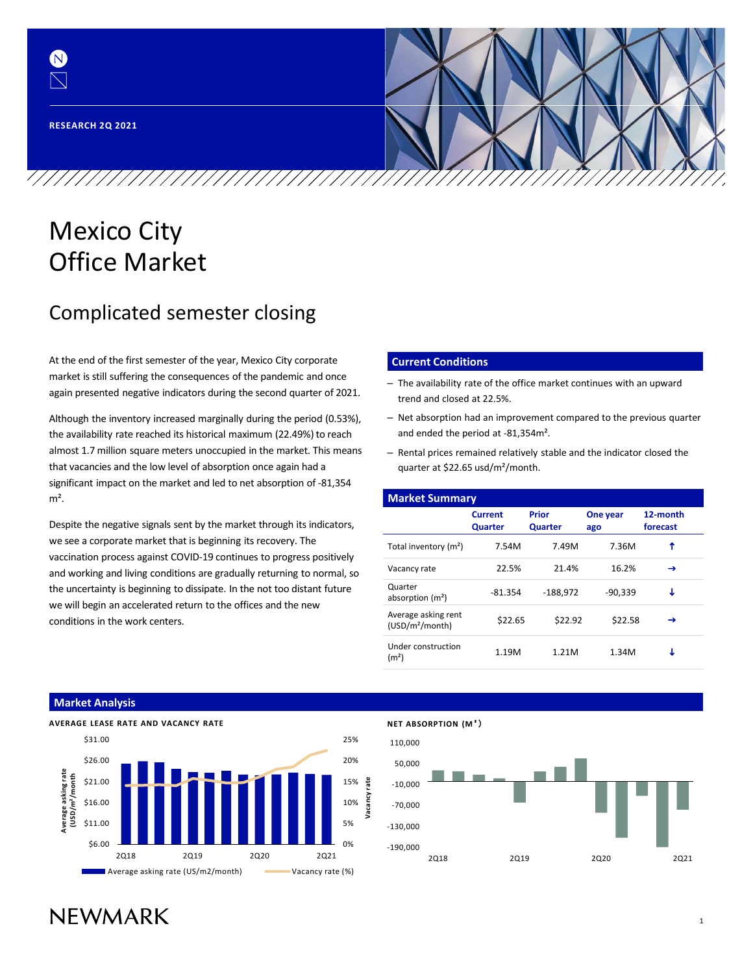(N)

# Mexico City Office Market

## Complicated semester closing

At the end of the first semester of the year, Mexico City corporate market is still suffering the consequences of the pandemic and once again presented negative indicators during the second quarter of 2021.

Although the inventory increased marginally during the period (0.53%), the availability rate reached its historical maximum (22.49%) to reach almost 1.7 million square meters unoccupied in the market. This means that vacancies and the low level of absorption once again had a significant impact on the market and led to net absorption of -81,354  $m<sup>2</sup>$ .

Despite the negative signals sent by the market through its indicators, we see a corporate market that is beginning its recovery. The vaccination process against COVID-19 continues to progress positively and working and living conditions are gradually returning to normal, so the uncertainty is beginning to dissipate. In the not too distant future we will begin an accelerated return to the offices and the new conditions in the work centers.

#### **Current Conditions**

- The availability rate of the office market continues with an upward trend and closed at 22.5%.
- Net absorption had an improvement compared to the previous quarter and ended the period at -81,354m².
- Rental prices remained relatively stable and the indicator closed the quarter at \$22.65 usd/m²/month.

| <b>Market Summary</b>                              |                                  |                                            |           |                      |  |  |  |  |  |  |
|----------------------------------------------------|----------------------------------|--------------------------------------------|-----------|----------------------|--|--|--|--|--|--|
|                                                    | <b>Current</b><br><b>Quarter</b> | Prior<br>One year<br><b>Quarter</b><br>ago |           | 12-month<br>forecast |  |  |  |  |  |  |
| Total inventory (m <sup>2</sup> )                  | 7.54M                            | 7.49M                                      | 7.36M     | ↑                    |  |  |  |  |  |  |
| Vacancy rate                                       | 22.5%                            | 21.4%                                      | 16.2%     | →                    |  |  |  |  |  |  |
| Quarter<br>absorption $(m2)$                       | $-81.354$                        | $-188.972$                                 | $-90.339$ | J                    |  |  |  |  |  |  |
| Average asking rent<br>(USD/m <sup>2</sup> /month) | \$22.65                          | \$22.92                                    | \$22.58   | →                    |  |  |  |  |  |  |
| Under construction<br>(m <sup>2</sup> )            | 1.19M                            | 1.21M                                      | 1.34M     | J                    |  |  |  |  |  |  |

#### **Market Analysis**



Average asking rate (US/m2/month) Vacancy rate (%)

### **NET ABSORPTION (M**²)

**Vacancy rate**



# **NFWMARK**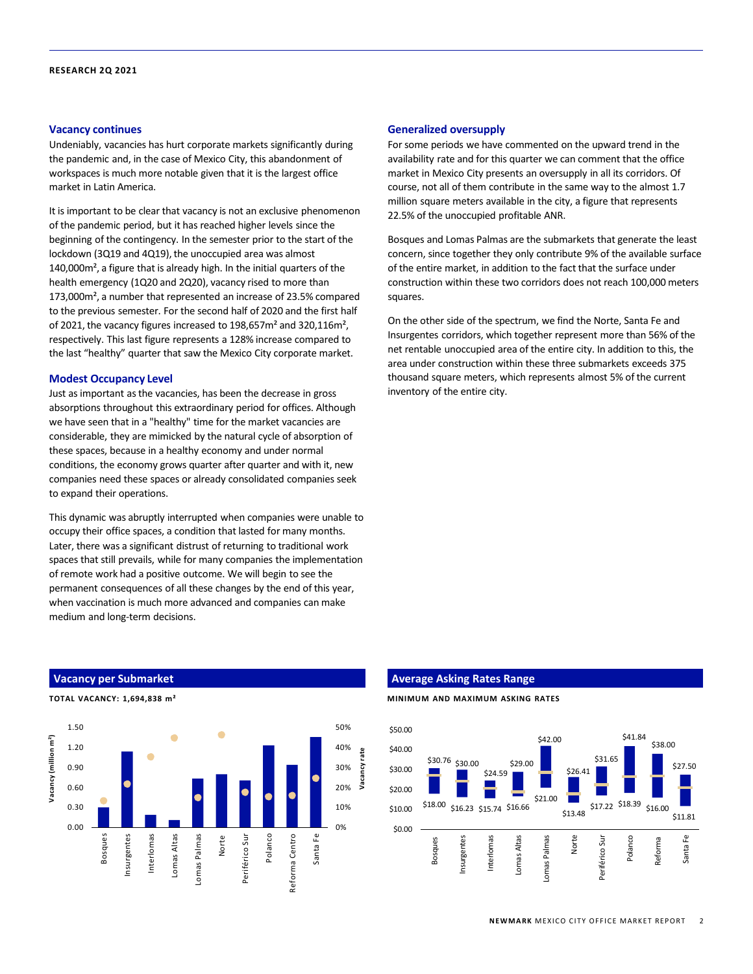#### **Vacancy continues**

Undeniably, vacancies has hurt corporate markets significantly during the pandemic and, in the case of Mexico City, this abandonment of workspaces is much more notable given that it is the largest office market in Latin America.

It is important to be clear that vacancy is not an exclusive phenomenon of the pandemic period, but it has reached higher levels since the beginning of the contingency. In the semester prior to the start of the lockdown (3Q19 and 4Q19), the unoccupied area was almost 140,000m², a figure that is already high. In the initial quarters of the health emergency (1Q20 and 2Q20), vacancy rised to more than 173,000m², a number that represented an increase of 23.5% compared to the previous semester. For the second half of 2020 and the first half of 2021, the vacancy figures increased to 198,657m² and 320,116m², respectively. This last figure represents a 128% increase compared to the last "healthy" quarter that saw the Mexico City corporate market.

#### **Modest Occupancy Level**

Just as important as the vacancies, has been the decrease in gross absorptions throughout this extraordinary period for offices. Although we have seen that in a "healthy" time for the market vacancies are considerable, they are mimicked by the natural cycle of absorption of these spaces, because in a healthy economy and under normal conditions, the economy grows quarter after quarter and with it, new companies need these spaces or already consolidated companies seek to expand their operations.

This dynamic was abruptly interrupted when companies were unable to occupy their office spaces, a condition that lasted for many months. Later, there was a significant distrust of returning to traditional work spaces that still prevails, while for many companies the implementation of remote work had a positive outcome. We will begin to see the permanent consequences of all these changes by the end of this year, when vaccination is much more advanced and companies can make medium and long-term decisions.

#### **Generalized oversupply**

For some periods we have commented on the upward trend in the availability rate and for this quarter we can comment that the office market in Mexico City presents an oversupply in all its corridors. Of course, not all of them contribute in the same way to the almost 1.7 million square meters available in the city, a figure that represents 22.5% of the unoccupied profitable ANR.

Bosques and Lomas Palmas are the submarkets that generate the least concern, since together they only contribute 9% of the available surface of the entire market, in addition to the fact that the surface under construction within these two corridors does not reach 100,000 meters squares.

On the other side of the spectrum, we find the Norte, Santa Fe and Insurgentes corridors, which together represent more than 56% of the net rentable unoccupied area of the entire city. In addition to this, the area under construction within these three submarkets exceeds 375 thousand square meters, which represents almost 5% of the current inventory of the entire city.

#### **Vacancy per Submarket**

**TOTAL VACANCY: 1,694,838 m²**



#### **Average Asking Rates Range**

**MINIMUM AND MAXIMUM ASKING RATES**

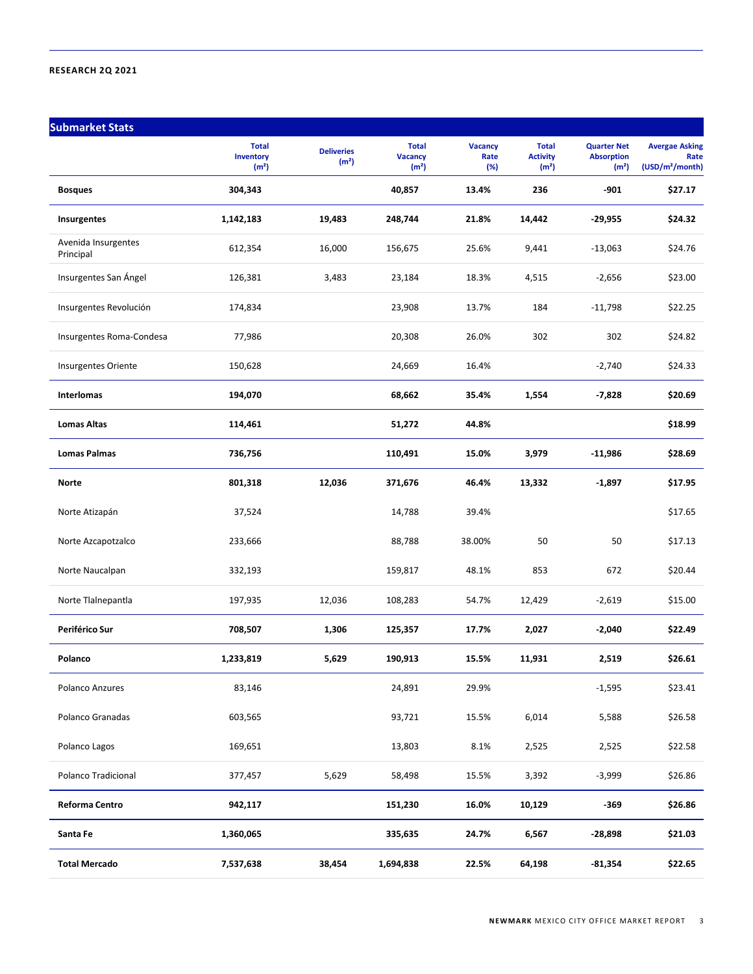| <b>Submarket Stats</b>           |                                                |                                        |                                                     |                               |                                                      |                                                              |                                                              |
|----------------------------------|------------------------------------------------|----------------------------------------|-----------------------------------------------------|-------------------------------|------------------------------------------------------|--------------------------------------------------------------|--------------------------------------------------------------|
|                                  | <b>Total</b><br>Inventory<br>(m <sup>2</sup> ) | <b>Deliveries</b><br>(m <sup>2</sup> ) | <b>Total</b><br><b>Vacancy</b><br>(m <sup>2</sup> ) | <b>Vacancy</b><br>Rate<br>(%) | <b>Total</b><br><b>Activity</b><br>(m <sup>2</sup> ) | <b>Quarter Net</b><br><b>Absorption</b><br>(m <sup>2</sup> ) | <b>Avergae Asking</b><br>Rate<br>(USD/m <sup>2</sup> /month) |
| <b>Bosques</b>                   | 304,343                                        |                                        | 40,857                                              | 13.4%                         | 236                                                  | $-901$                                                       | \$27.17                                                      |
| Insurgentes                      | 1,142,183                                      | 19,483                                 | 248,744                                             | 21.8%                         | 14,442                                               | -29,955                                                      | \$24.32                                                      |
| Avenida Insurgentes<br>Principal | 612,354                                        | 16,000                                 | 156,675                                             | 25.6%                         | 9,441                                                | $-13,063$                                                    | \$24.76                                                      |
| Insurgentes San Ángel            | 126,381                                        | 3,483                                  | 23,184                                              | 18.3%                         | 4,515                                                | $-2,656$                                                     | \$23.00                                                      |
| Insurgentes Revolución           | 174,834                                        |                                        | 23,908                                              | 13.7%                         | 184                                                  | $-11,798$                                                    | \$22.25                                                      |
| Insurgentes Roma-Condesa         | 77,986                                         |                                        | 20,308                                              | 26.0%                         | 302                                                  | 302                                                          | \$24.82                                                      |
| Insurgentes Oriente              | 150,628                                        |                                        | 24,669                                              | 16.4%                         |                                                      | $-2,740$                                                     | \$24.33                                                      |
| <b>Interlomas</b>                | 194,070                                        |                                        | 68,662                                              | 35.4%                         | 1,554                                                | $-7,828$                                                     | \$20.69                                                      |
| <b>Lomas Altas</b>               | 114,461                                        |                                        | 51,272                                              | 44.8%                         |                                                      |                                                              | \$18.99                                                      |
| <b>Lomas Palmas</b>              | 736,756                                        |                                        | 110,491                                             | 15.0%                         | 3,979                                                | $-11,986$                                                    | \$28.69                                                      |
| Norte                            | 801,318                                        | 12,036                                 | 371,676                                             | 46.4%                         | 13,332                                               | $-1,897$                                                     | \$17.95                                                      |
| Norte Atizapán                   | 37,524                                         |                                        | 14,788                                              | 39.4%                         |                                                      |                                                              | \$17.65                                                      |
| Norte Azcapotzalco               | 233,666                                        |                                        | 88,788                                              | 38.00%                        | 50                                                   | 50                                                           | \$17.13                                                      |
| Norte Naucalpan                  | 332,193                                        |                                        | 159,817                                             | 48.1%                         | 853                                                  | 672                                                          | \$20.44                                                      |
| Norte Tlalnepantla               | 197,935                                        | 12,036                                 | 108,283                                             | 54.7%                         | 12,429                                               | $-2,619$                                                     | \$15.00                                                      |
| Periférico Sur                   | 708,507                                        | 1,306                                  | 125,357                                             | 17.7%                         | 2,027                                                | $-2,040$                                                     | \$22.49                                                      |
| Polanco                          | 1,233,819                                      | 5,629                                  | 190,913                                             | 15.5%                         | 11,931                                               | 2,519                                                        | \$26.61                                                      |
| Polanco Anzures                  | 83,146                                         |                                        | 24,891                                              | 29.9%                         |                                                      | $-1,595$                                                     | \$23.41                                                      |
| Polanco Granadas                 | 603,565                                        |                                        | 93,721                                              | 15.5%                         | 6,014                                                | 5,588                                                        | \$26.58                                                      |
| Polanco Lagos                    | 169,651                                        |                                        | 13,803                                              | 8.1%                          | 2,525                                                | 2,525                                                        | \$22.58                                                      |
| Polanco Tradicional              | 377,457                                        | 5,629                                  | 58,498                                              | 15.5%                         | 3,392                                                | $-3,999$                                                     | \$26.86                                                      |
| Reforma Centro                   | 942,117                                        |                                        | 151,230                                             | 16.0%                         | 10,129                                               | $-369$                                                       | \$26.86                                                      |
| Santa Fe                         | 1,360,065                                      |                                        | 335,635                                             | 24.7%                         | 6,567                                                | $-28,898$                                                    | \$21.03                                                      |
| <b>Total Mercado</b>             | 7,537,638                                      | 38,454                                 | 1,694,838                                           | 22.5%                         | 64,198                                               | $-81,354$                                                    | \$22.65                                                      |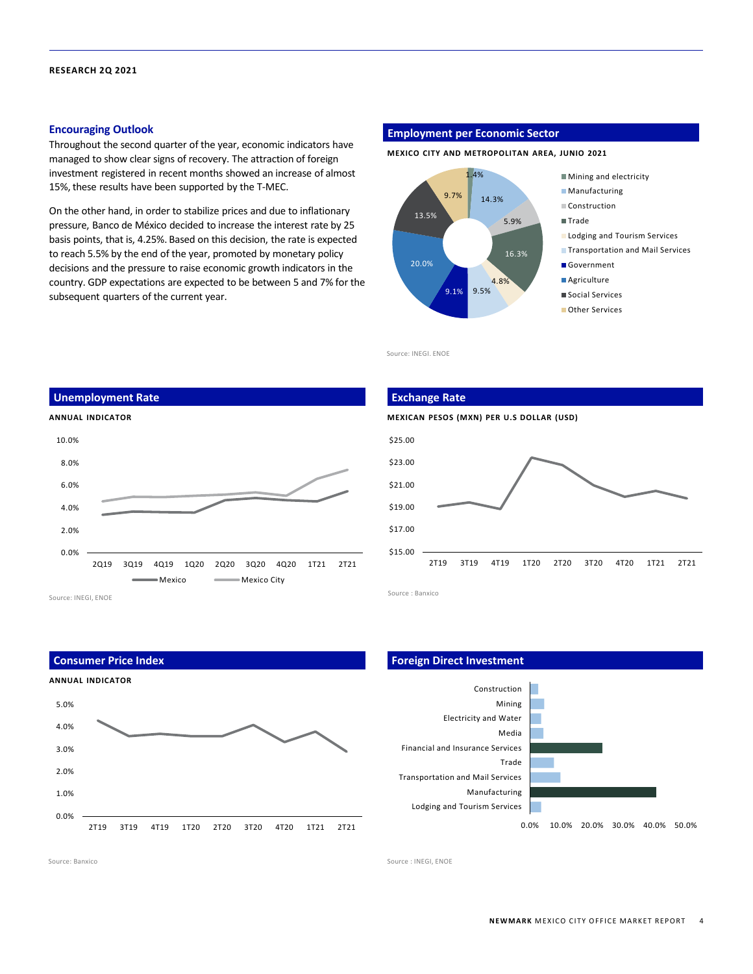#### **Encouraging Outlook**

Throughout the second quarter of the year, economic indicators have managed to show clear signs of recovery. The attraction of foreign investment registered in recent months showed an increase of almost 15%, these results have been supported by the T-MEC.

On the other hand, in order to stabilize prices and due to inflationary pressure, Banco de México decided to increase the interest rate by 25 basis points, that is, 4.25%. Based on this decision, the rate is expected to reach 5.5% by the end of the year, promoted by monetary policy decisions and the pressure to raise economic growth indicators in the country. GDP expectations are expected to be between 5 and 7% for the subsequent quarters of the current year.

#### **Employment per Economic Sector**

**MEXICO CITY AND METROPOLITAN AREA, JUNIO 2021**



Source: INEGI. ENOE

### **ANNUAL INDICATOR** 0.0% 2.0% 4.0% 6.0% 8.0% 10.0% 2Q19 3Q19 4Q19 1Q20 2Q20 3Q20 4Q20 1T21 2T21 Mexico Mexico City **Unemployment Rate** Source: INEGI, ENOE



Source : Banxico

\$15.00

**Consumer Price Index**





#### **Foreign Direct Investment**



2T19 3T19 4T19 1T20 2T20 3T20 4T20 1T21 2T21

Source: Banxico Source : INEGI, ENOE